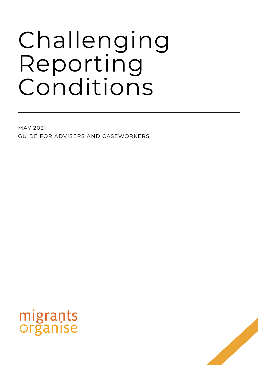# Challenging Reporting Conditions

MAY 2021 GUIDE FOR ADVISERS AND CASEWORKERS



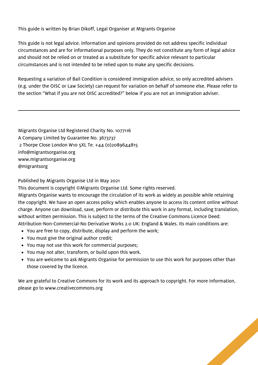This guide is written by Brian Dikoff, Legal Organiser at MIgrants Organise

This guide is not legal advice. Information and opinions provided do not address specific individual circumstances and are for informational purposes only. They do not constitute any form of legal advice and should not be relied on or treated as a substitute for specific advice relevant to particular circumstances and is not intended to be relied upon to make any specific decisions.

Requesting a variation of Bail Condition is considered immigration advice, so only accredited advisers (e.g. under the OISC or Law Society) can request for variation on behalf of someone else. Please refer to the section "What if you are not OISC accredited?" below if you are not an immigration adviser.

Migrants Organise Ltd Registered Charity No. 1077116 A Company Limited by Guarantee No. 3673737 2 Thorpe Close London W10 5XL Te. +44 (0)2089644815 [info@migrantsorganise.org](mailto:info@migrantsorganise.org) [www.migrantsorganise.org](http://www.migrantsorganise.org/) @migrantsorg

Published by Migrants Organise Ltd in May 2021

This document is copyright ©Migrants Organise Ltd. Some rights reserved.

Migrants Organise wants to encourage the circulation of its work as widely as possible while retaining the copyright. We have an open access policy which enables anyone to access its content online without charge. Anyone can download, save, perform or distribute this work in any format, including translation, without written permission. This is subject to the terms of the Creative Commons Licence Deed: Attribution-Non-Commercial-No Derivative Works 2.0 UK: England & Wales. Its main conditions are:

- You are free to copy, distribute, display and perform the work;
- You must give the original author credit;
- You may not use this work for commercial purposes;
- You may not alter, transform, or build upon this work.
- You are welcome to ask Migrants Organise for permission to use this work for purposes other than those covered by the licence.

We are grateful to Creative Commons for its work and its approach to copyright. For more information, please go to [www.creativecommons.org](http://www.creativecommons.org/)

2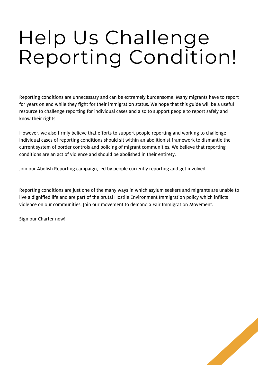## Help Us Challenge Reporting Condition!

Reporting conditions are unnecessary and can be extremely burdensome. Many migrants have to report for years on end while they fight for their immigration status. We hope that this guide will be a useful resource to challenge reporting for individual cases and also to support people to report safely and know their rights.

However, we also firmly believe that efforts to support people reporting and working to challenge individual cases of reporting conditions should sit within an abolitionist framework to dismantle the current system of border controls and policing of migrant communities. We believe that reporting conditions are an act of violence and should be abolished in their entirety.

Join our Abolish [Reporting](https://detention.org.uk/abolish-reporting/) campaign, led by people currently reporting and get involved

Reporting conditions are just one of the many ways in which asylum seekers and migrants are unable to live a dignified life and are part of the brutal Hostile Environment Immigration policy which inflicts violence on our communities. Join our movement to demand a Fair Immigration Movement.

Sign our [Charter](https://firmcharter.org.uk/) now!

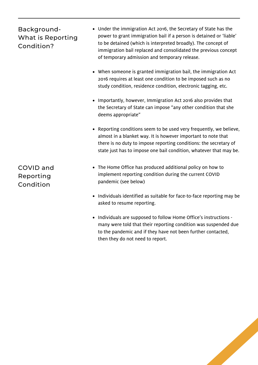#### Background-What is Reporting Condition?

- Under the immigration Act 2016, the Secretary of State has the power to grant immigration bail if a person is detained or 'liable' to be detained (which is interpreted broadly). The concept of immigration bail replaced and consolidated the previous concept of temporary admission and temporary release.
- When someone is granted immigration bail, the immigration Act 2016 requires at least one condition to be imposed such as no study condition, residence condition, electronic tagging, etc.
- Importantly, however, Immigration Act 2016 also provides that the Secretary of State can impose "any other condition that she deems appropriate"
- Reporting conditions seem to be used very frequently, we believe, almost in a blanket way. It is however important to note that there is no duty to impose reporting conditions: the secretary of state just has to impose one bail condition, whatever that may be.
- The Home Office has produced additional policy on how to implement reporting condition during the current COVID pandemic (see below)
- Individuals identified as suitable for face-to-face reporting may be asked to resume reporting.
- Individuals are supposed to follow Home Office's instructions many were told that their reporting condition was suspended due to the pandemic and if they have not been further contacted, then they do not need to report.

COVID and Reporting Condition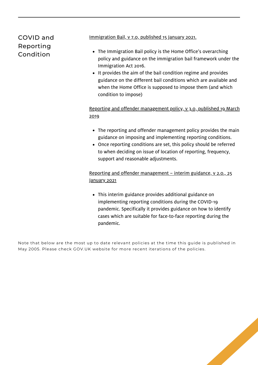#### COVID and Reporting Condition

[Immigration](https://assets.publishing.service.gov.uk/government/uploads/system/uploads/attachment_data/file/952910/immigration-bail-v7.0-gov-uk.pdf) Bail, v 7.0, published 15 January 2021.

- The Immigration Bail policy is the Home Office's overarching policy and guidance on the immigration bail framework under the Immigration Act 2016.
- It provides the aim of the bail condition regime and provides guidance on the different bail conditions which are available and when the Home Office is supposed to impose them (and which condition to impose)

#### Reporting and offender [management](https://assets.publishing.service.gov.uk/government/uploads/system/uploads/attachment_data/file/919794/reporting-and-offender-management-v3.0-ext.pdf) policy, v 3.0, published 19 March 2019

- The reporting and offender management policy provides the main guidance on imposing and implementing reporting conditions.
- Once reporting conditions are set, this policy should be referred to when deciding on issue of location of reporting, frequency, support and reasonable adjustments.

Reporting and offender [management](https://assets.publishing.service.gov.uk/government/uploads/system/uploads/attachment_data/file/955432/rom-interim-guidance-v2.0-gov-uk.pdf) – interim guidance, v 2.0., 25 January 2021

This interim guidance provides additional guidance on implementing reporting conditions during the COVID-19 pandemic. Specifically it provides guidance on how to identify cases which are suitable for face-to-face reporting during the pandemic.

Note that below are the most up to date relevant policies at the time this guide is published in May 2005. Please check GOV.UK website for more recent iterations of the policies.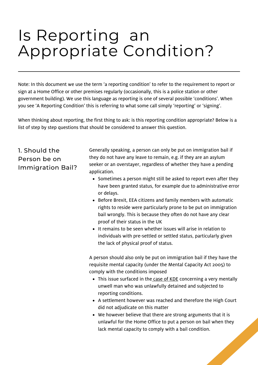## Is Reporting an Appropriate Condition?

Note: In this document we use the term 'a reporting condition' to refer to the requirement to report or sign at a Home Office or other premises regularly (occasionally, this is a police station or other government building). We use this language as reporting is one of several possible 'conditions'. When you see 'A Reporting Condition' this is referring to what some call simply 'reporting' or 'signing'.

When thinking about reporting, the first thing to ask: is this reporting condition appropriate? Below is a list of step by step questions that should be considered to answer this question.

#### 1. Should the Person be on Immigration Bail?

Generally speaking, a person can only be put on immigration bail if they do not have any leave to remain, e.g. if they are an asylum seeker or an overstayer, regardless of whether they have a pending application.

- Sometimes a person might still be asked to report even after they have been granted status, for example due to administrative error or delays.
- Before Brexit, EEA citizens and family members with automatic rights to reside were particularly prone to be put on immigration bail wrongly. This is because they often do not have any clear proof of their status in the UK
- It remains to be seen whether issues will arise in relation to individuals with pre-settled or settled status, particularly given the lack of physical proof of status.

A person should also only be put on immigration bail if they have the requisite mental capacity (under the Mental Capacity Act 2005) to comply with the conditions imposed

- This issue surfaced in the [case](https://www.gardencourtchambers.co.uk/news/home-office-admits-unlawful-detention-of-mentally-ill-man) of KDE concerning a very mentally unwell man who was unlawfully detained and subjected to reporting conditions.
- A settlement however was reached and therefore the High Court did not adjudicate on this matter
- We however believe that there are strong arguments that it is unlawful for the Home Office to put a person on bail when they lack mental capacity to comply with a bail condition.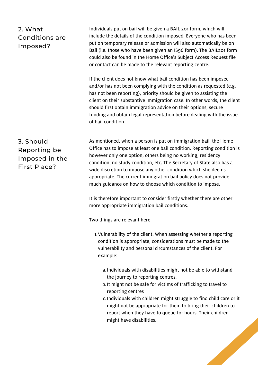#### 2. What Conditions are Imposed?

Individuals put on bail will be given a BAIL 201 form, which will include the details of the condition imposed. Everyone who has been put on temporary release or admission will also automatically be on Bail (i.e. those who have been given an IS96 form). The BAIL201 form could also be found in the Home Office's Subject Access Request file or contact can be made to the relevant reporting centre.

If the client does not know what bail condition has been imposed and/or has not been complying with the condition as requested (e.g. has not been reporting), priority should be given to assisting the client on their substantive immigration case. In other words, the client should first obtain immigration advice on their options, secure funding and obtain legal representation before dealing with the issue of bail condition

3. Should Reporting be Imposed in the First Place?

As mentioned, when a person is put on immigration bail, the Home Office has to impose at least one bail condition. Reporting condition is however only one option, others being no working, residency condition, no study condition, etc. The Secretary of State also has a wide discretion to impose any other condition which she deems appropriate. The current immigration bail policy does not provide much guidance on how to choose which condition to impose.

It is therefore important to consider firstly whether there are other more appropriate immigration bail conditions.

Two things are relevant here

- 1. Vulnerability of the client. When assessing whether a reporting condition is appropriate, considerations must be made to the vulnerability and personal circumstances of the client. For example:
	- a. Individuals with disabilities might not be able to withstand the journey to reporting centres.
	- b. It might not be safe for victims of trafficking to travel to reporting centres
	- c. Individuals with children might struggle to find child care or it might not be appropriate for them to bring their children to report when they have to queue for hours. Their children might have disabilities.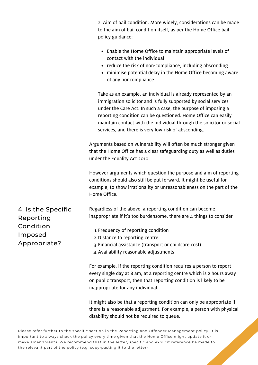|                                                                         | 2. Aim of bail condition. More widely, considerations can be made<br>to the aim of bail condition itself, as per the Home Office bail<br>policy guidance:                                                                                                                                                                                                                                          |
|-------------------------------------------------------------------------|----------------------------------------------------------------------------------------------------------------------------------------------------------------------------------------------------------------------------------------------------------------------------------------------------------------------------------------------------------------------------------------------------|
|                                                                         | • Enable the Home Office to maintain appropriate levels of<br>contact with the individual<br>• reduce the risk of non-compliance, including absconding<br>• minimise potential delay in the Home Office becoming aware<br>of any noncompliance                                                                                                                                                     |
|                                                                         | Take as an example, an individual is already represented by an<br>immigration solicitor and is fully supported by social services<br>under the Care Act. In such a case, the purpose of imposing a<br>reporting condition can be questioned. Home Office can easily<br>maintain contact with the individual through the solicitor or social<br>services, and there is very low risk of absconding. |
|                                                                         | Arguments based on vulnerability will often be much stronger given<br>that the Home Office has a clear safeguarding duty as well as duties<br>under the Equality Act 2010.                                                                                                                                                                                                                         |
|                                                                         | However arguments which question the purpose and aim of reporting<br>conditions should also still be put forward. It might be useful for<br>example, to show irrationality or unreasonableness on the part of the<br>Home Office.                                                                                                                                                                  |
| 4. Is the Specific<br>Reporting<br>Condition<br>Imposed<br>Appropriate? | Regardless of the above, a reporting condition can become<br>inappropriate if it's too burdensome, there are $4$ things to consider                                                                                                                                                                                                                                                                |
|                                                                         | 1. Frequency of reporting condition<br>2. Distance to reporting centre.<br>3. Financial assistance (transport or childcare cost)<br>4. Availability reasonable adjustments                                                                                                                                                                                                                         |
|                                                                         | For example, if the reporting condition requires a person to report<br>every single day at 8 am, at a reporting centre which is 2 hours away<br>on public transport, then that reporting condition is likely to be<br>inappropriate for any individual.                                                                                                                                            |
|                                                                         | It might also be that a reporting condition can only be appropriate if<br>there is a reasonable adjustment. For example, a person with physical                                                                                                                                                                                                                                                    |

Please refer further to the specific section in the Reporting and Offender Management policy. It is important to always check the policy every time given that the Home Office might update it or make amendments. We recommend that in the letter, specific and explicit reference be made to the relevant part of the policy (e.g. copy-pasting it to the letter)

disability should not be required to queue.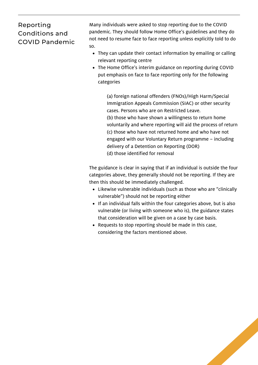#### Reporting Conditions and COVID Pandemic

Many [individuals](http://www.migrantsorganise.org/?p=29005) were asked to stop reporting due to the COVID pandemic. They should follow Home Office's guidelines and they do not need to resume face to face reporting unless explicitly told to do so.

- They can update their contact information by emailing or calling relevant reporting centre
- The Home Office's interim guidance on reporting during COVID put emphasis on face to face reporting only for the following categories

(a) foreign national offenders (FNOs)/High Harm/Special Immigration Appeals Commission (SIAC) or other security cases. Persons who are on Restricted Leave. (b) those who have shown a willingness to return home voluntarily and where reporting will aid the process of return (c) those who have not returned home and who have not engaged with our Voluntary Return programme – including delivery of a Detention on Reporting (DOR)

(d) those identified for removal

The guidance is clear in saying that if an individual is outside the four categories above, they generally should not be reporting. If they are then this should be immediately challenged.

- Likewise vulnerable individuals (such as those who are "clinically vulnerable") should not be reporting either
- If an individual falls within the four categories above, but is also vulnerable (or living with someone who is), the guidance states that consideration will be given on a case by case basis.
- Requests to stop reporting should be made in this case, considering the factors mentioned above.

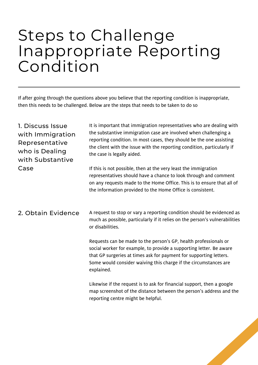### Steps to Challenge Inappropriate Reporting Condition

If after going through the questions above you believe that the reporting condition is inappropriate, then this needs to be challenged. Below are the steps that needs to be taken to do so

| 1. Discuss Issue<br>with Immigration<br>Representative<br>who is Dealing<br>with Substantive | It is important that immigration representatives who are dealing with<br>the substantive immigration case are involved when challenging a<br>reporting condition. In most cases, they should be the one assisting<br>the client with the issue with the reporting condition, particularly if<br>the case is legally aided. |
|----------------------------------------------------------------------------------------------|----------------------------------------------------------------------------------------------------------------------------------------------------------------------------------------------------------------------------------------------------------------------------------------------------------------------------|
| Case                                                                                         | If this is not possible, then at the very least the immigration<br>representatives should have a chance to look through and comment<br>on any requests made to the Home Office. This is to ensure that all of<br>the information provided to the Home Office is consistent.                                                |
| 2. Obtain Evidence                                                                           | A request to stop or vary a reporting condition should be evidenced as<br>much as possible, particularly if it relies on the person's vulnerabilities<br>or disabilities.                                                                                                                                                  |
|                                                                                              | Requests can be made to the person's GP, health professionals or<br>social worker for example, to provide a supporting letter. Be aware<br>that GP surgeries at times ask for payment for supporting letters.<br>Some would consider waiving this charge if the circumstances are<br>explained.                            |
|                                                                                              | Likewise if the request is to ask for financial support, then a google<br>map screenshot of the distance between the person's address and the<br>reporting centre might be helpful.                                                                                                                                        |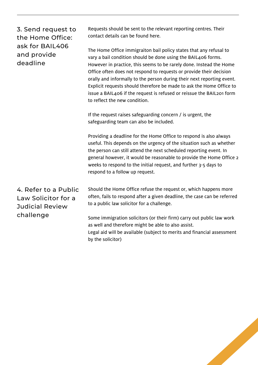| 3. Send request to<br>the Home Office:<br>ask for BAIL406<br>and provide<br>deadline | Requests should be sent to the relevant reporting centres. Their<br>contact details can be found here.                                                                                                                                                                                                                                                                                                                                                                                                                                        |
|--------------------------------------------------------------------------------------|-----------------------------------------------------------------------------------------------------------------------------------------------------------------------------------------------------------------------------------------------------------------------------------------------------------------------------------------------------------------------------------------------------------------------------------------------------------------------------------------------------------------------------------------------|
|                                                                                      | The Home Office immigraiton bail policy states that any refusal to<br>vary a bail condition should be done using the BAIL406 forms.<br>However in practice, this seems to be rarely done. Instead the Home<br>Office often does not respond to requests or provide their decision<br>orally and informally to the person during their next reporting event.<br>Explicit requests should therefore be made to ask the Home Office to<br>issue a BAIL406 if the request is refused or reissue the BAIL201 form<br>to reflect the new condition. |
|                                                                                      | If the request raises safeguarding concern / is urgent, the<br>safeguarding team can also be included.                                                                                                                                                                                                                                                                                                                                                                                                                                        |
|                                                                                      | Providing a deadline for the Home Office to respond is also always<br>useful. This depends on the urgency of the situation such as whether<br>the person can still attend the next scheduled reporting event. In<br>general however, it would be reasonable to provide the Home Office 2<br>weeks to respond to the initial request, and further 3-5 days to<br>respond to a follow up request.                                                                                                                                               |
| 4. Refer to a Public<br>Law Solicitor for a<br><b>Judicial Review</b><br>challenge   | Should the Home Office refuse the request or, which happens more<br>often, fails to respond after a given deadline, the case can be referred<br>to a public law solicitor for a challenge.                                                                                                                                                                                                                                                                                                                                                    |
|                                                                                      | Some immigration solicitors (or their firm) carry out public law work<br>as well and therefore might be able to also assist.<br>Legal aid will be available (subject to merits and financial assessment<br>by the solicitor)                                                                                                                                                                                                                                                                                                                  |